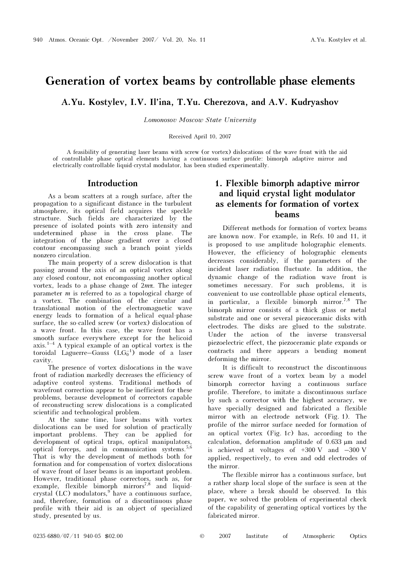# Generation of vortex beams by controllable phase elements

A.Yu. Kostylev, I.V. Il'ina, T.Yu. Cherezova, and A.V. Kudryashov

Lomonosov Moscow State University

Received April 10, 2007

A feasibility of generating laser beams with screw (or vortex) dislocations of the wave front with the aid of controllable phase optical elements having a continuous surface profile: bimorph adaptive mirror and electrically controllable liquid-crystal modulator, has been studied experimentally.

### Introduction

As a beam scatters at a rough surface, after the propagation to a significant distance in the turbulent atmosphere, its optical field acquires the speckle structure. Such fields are characterized by the presence of isolated points with zero intensity and undetermined phase in the cross plane. The integration of the phase gradient over a closed contour encompassing such a branch point yields nonzero circulation.

The main property of a screw dislocation is that passing around the axis of an optical vortex along any closed contour, not encompassing another optical vortex, leads to a phase change of  $2m\pi$ . The integer parameter m is referred to as a topological charge of a vortex. The combination of the circular and translational motion of the electromagnetic wave energy leads to formation of a helical equal-phase surface, the so-called screw (or vortex) dislocation of a wave front. In this case, the wave front has a smooth surface everywhere except for the helicoid axis.<sup>1–4</sup> A typical example of an optical vortex is the toroidal Laguerre–Gauss  $(LG_0^{-1})$  mode of a laser cavity.

The presence of vortex dislocations in the wave front of radiation markedly decreases the efficiency of adaptive control systems. Traditional methods of wavefront correction appear to be inefficient for these problems, because development of correctors capable of reconstructing screw dislocations is a complicated scientific and technological problem.

At the same time, laser beams with vortex dislocations can be used for solution of practically important problems. They can be applied for development of optical traps, optical manipulators, optical forceps, and in communication systems. $5,6$ That is why the development of methods both for formation and for compensation of vortex dislocations of wave front of laser beams is an important problem. However, traditional phase correctors, such as, for example, flexible bimorph mirrors<sup>7,8</sup> and liquidcrystal (LC) modulators,  $9$  have a continuous surface, and, therefore, formation of a discontinuous phase profile with their aid is an object of specialized study, presented by us.

## 1. Flexible bimorph adaptive mirror and liquid crystal light modulator as elements for formation of vortex beams

Different methods for formation of vortex beams are known now. For example, in Refs. 10 and 11, it is proposed to use amplitude holographic elements. However, the efficiency of holographic elements decreases considerably, if the parameters of the incident laser radiation fluctuate. In addition, the dynamic change of the radiation wave front is sometimes necessary. For such problems, it is convenient to use controllable phase optical elements, in particular, a flexible bimorph mirror.7,8 The bimorph mirror consists of a thick glass or metal substrate and one or several piezoceramic disks with electrodes. The disks are glued to the substrate. Under the action of the inverse transversal piezoelectric effect, the piezoceramic plate expands or contracts and there appears a bending moment deforming the mirror.

It is difficult to reconstruct the discontinuous screw wave front of a vortex beam by a model bimorph corrector having a continuous surface profile. Therefore, to imitate a discontinuous surface by such a corrector with the highest accuracy, we have specially designed and fabricated a flexible mirror with an electrode network (Fig. 1). The profile of the mirror surface needed for formation of an optical vortex (Fig. 1c) has, according to the calculation, deformation amplitude of 0.633 μm and is achieved at voltages of +300 V and –300 V applied, respectively, to even and odd electrodes of the mirror.

The flexible mirror has a continuous surface, but a rather sharp local slope of the surface is seen at the place, where a break should be observed. In this paper, we solved the problem of experimental check of the capability of generating optical vortices by the fabricated mirror.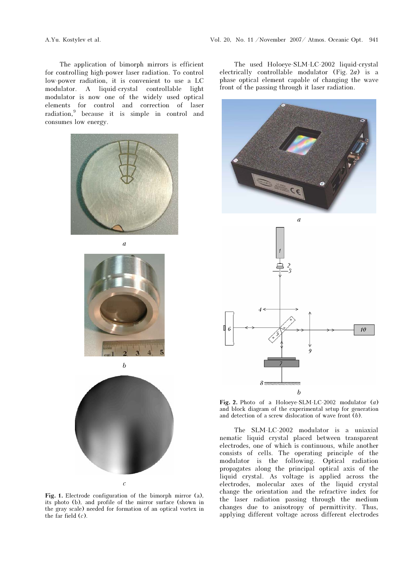The application of bimorph mirrors is efficient for controlling high-power laser radiation. To control low-power radiation, it is convenient to use a LC modulator. A liquid-crystal controllable light modulator is now one of the widely used optical elements for control and correction of laser radiation,<sup>9</sup> because it is simple in control and consumes low energy.



à



b



Fig. 1. Electrode configuration of the bimorph mirror (a), its photo (b), and profile of the mirror surface (shown in the gray scale) needed for formation of an optical vortex in the far field  $(c)$ .

The used Holoeye-SLM-LC-2002 liquid-crystal electrically controllable modulator (Fig. 2a) is a phase optical element capable of changing the wave front of the passing through it laser radiation.





Fig. 2. Photo of a Holoeye-SLM-LC-2002 modulator  $(a)$ and block diagram of the experimental setup for generation and detection of a screw dislocation of wave front (b).

The SLM-LC-2002 modulator is a uniaxial nematic liquid crystal placed between transparent electrodes, one of which is continuous, while another consists of cells. The operating principle of the modulator is the following. Optical radiation propagates along the principal optical axis of the liquid crystal. As voltage is applied across the electrodes, molecular axes of the liquid crystal change the orientation and the refractive index for the laser radiation passing through the medium changes due to anisotropy of permittivity. Thus, applying different voltage across different electrodes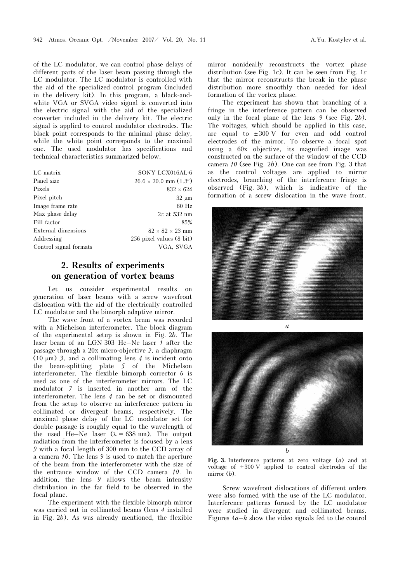of the LC modulator, we can control phase delays of different parts of the laser beam passing through the LC modulator. The LC modulator is controlled with the aid of the specialized control program (included in the delivery kit). In this program, a black-andwhite VGA or SVGA video signal is converted into the electric signal with the aid of the specialized converter included in the delivery kit. The electric signal is applied to control modulator electrodes. The black point corresponds to the minimal phase delay, while the white point corresponds to the maximal one. The used modulator has specifications and technical characteristics summarized below.

| LC matrix              | SONY LCX016AL-6                |
|------------------------|--------------------------------|
| Panel size             | $26.6 \times 20.0$ mm $(1.3")$ |
| Pixels                 | $832 \times 624$               |
| Pixel pitch            | $32 \mu m$                     |
| Image frame rate       | $60$ Hz                        |
| Max phase delay        | $2\pi$ at 532 nm               |
| Fill factor            | 85%                            |
| External dimensions    | $82 \times 82 \times 23$ mm    |
| Addressing             | 256 pixel values (8 bit)       |
| Control signal formats | VGA, SVGA                      |
|                        |                                |

## 2. Results of experiments on generation of vortex beams

Let us consider experimental results on generation of laser beams with a screw wavefront dislocation with the aid of the electrically controlled LC modulator and the bimorph adaptive mirror.

The wave front of a vortex beam was recorded with a Michelson interferometer. The block diagram of the experimental setup is shown in Fig. 2b. The laser beam of an LGN-303 He–Ne laser 1 after the passage through a  $20x$  micro-objective  $2$ , a diaphragm (10  $\mu$ m) 3, and a collimating lens 4 is incident onto the beam-splitting plate 5 of the Michelson interferometer. The flexible bimorph corrector 6 is used as one of the interferometer mirrors. The LC modulator 7 is inserted in another arm of the interferometer. The lens 4 can be set or dismounted from the setup to observe an interference pattern in collimated or divergent beams, respectively. The maximal phase delay of the LC modulator set for double passage is roughly equal to the wavelength of the used He–Ne laser  $(\lambda = 638 \text{ nm})$ . The output radiation from the interferometer is focused by a lens 9 with a focal length of 300 mm to the CCD array of a camera 10. The lens 9 is used to match the aperture of the beam from the interferometer with the size of the entrance window of the CCD camera 10. In addition, the lens 9 allows the beam intensity distribution in the far field to be observed in the focal plane.

The experiment with the flexible bimorph mirror was carried out in collimated beams (lens 4 installed in Fig. 2b). As was already mentioned, the flexible

mirror nonideally reconstructs the vortex phase distribution (see Fig. 1c). It can be seen from Fig. 1c that the mirror reconstructs the break in the phase distribution more smoothly than needed for ideal formation of the vortex phase.

The experiment has shown that branching of a fringe in the interference pattern can be observed only in the focal plane of the lens 9 (see Fig. 2b). The voltages, which should be applied in this case, are equal to  $\pm 300$  V for even and odd control electrodes of the mirror. To observe a focal spot using a 60x objective, its magnified image was constructed on the surface of the window of the CCD camera 10 (see Fig. 2b). One can see from Fig. 3 that as the control voltages are applied to mirror electrodes, branching of the interference fringe is observed (Fig. 3b), which is indicative of the formation of a screw dislocation in the wave front.





Fig. 3. Interference patterns at zero voltage (a) and at voltage of  $\pm 300$  V applied to control electrodes of the mirror  $(b)$ .

Screw wavefront dislocations of different orders were also formed with the use of the LC modulator. Interference patterns formed by the LC modulator were studied in divergent and collimated beams. Figures  $4a-h$  show the video signals fed to the control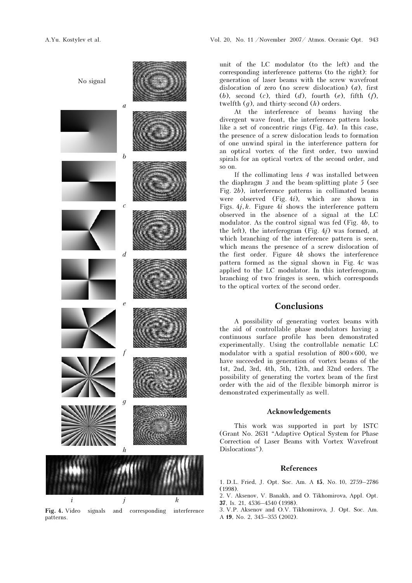

Fig. 4. Video signals and corresponding interference patterns.

unit of the LC modulator (to the left) and the corresponding interference patterns (to the right): for generation of laser beams with the screw wavefront dislocation of zero (no screw dislocation)  $(a)$ , first (b), second (c), third (d), fourth (e), fifth  $(f)$ , twelfth  $(q)$ , and thirty-second  $(h)$  orders.

At the interference of beams having the divergent wave front, the interference pattern looks like a set of concentric rings (Fig. 4a). In this case, the presence of a screw dislocation leads to formation of one unwind spiral in the interference pattern for an optical vortex of the first order, two unwind spirals for an optical vortex of the second order, and so on.

If the collimating lens 4 was installed between the diaphragm 3 and the beam-splitting plate 5 (see Fig. 2b), interference patterns in collimated beams were observed (Fig. 4i), which are shown in Figs.  $4j, k$ . Figure  $4i$  shows the interference pattern observed in the absence of a signal at the LC modulator. As the control signal was fed (Fig. 4b, to the left), the interferogram (Fig.  $4j$ ) was formed, at which branching of the interference pattern is seen, which means the presence of a screw dislocation of the first order. Figure  $4k$  shows the interference pattern formed as the signal shown in Fig. 4c was applied to the LC modulator. In this interferogram, branching of two fringes is seen, which corresponds to the optical vortex of the second order.

### Conclusions

A possibility of generating vortex beams with the aid of controllable phase modulators having a continuous surface profile has been demonstrated experimentally. Using the controllable nematic LC modulator with a spatial resolution of  $800 \times 600$ , we have succeeded in generation of vortex beams of the 1st, 2nd, 3rd, 4th, 5th, 12th, and 32nd orders. The possibility of generating the vortex beam of the first order with the aid of the flexible bimorph mirror is demonstrated experimentally as well.

#### Acknowledgements

This work was supported in part by ISTC (Grant No. 2631 "Adaptive Optical System for Phase Correction of Laser Beams with Vortex Wavefront Dislocations").

#### References

1. D.L. Fried, J. Opt. Soc. Am. <sup>A</sup>15, No. 10, 2759–2786 (1998).

2. V. Aksenov, V. Banakh, and O. Tikhomirova, Appl. Opt. 37, Is. 21, 4536–4540 (1998).

3. V.P. Aksenov and O.V. Tikhomirova, J. Opt. Soc. Am. <sup>A</sup>19, No. 2, 345–355 (2002).